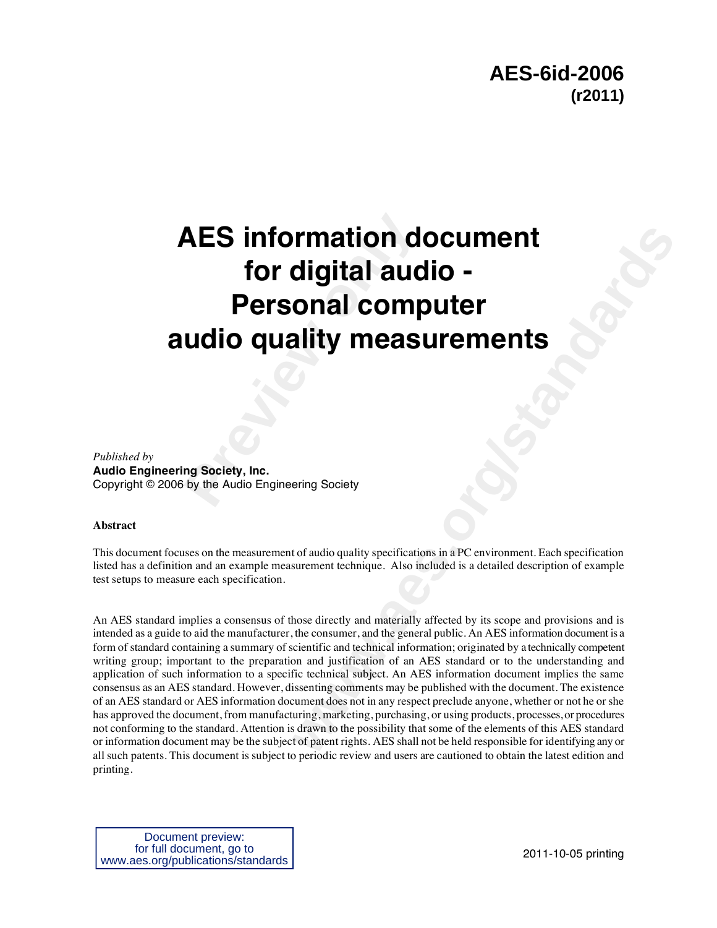# **AES information d<br>for digital auc<br>Personal comp<br>udio quality meas<br>and Society, Inc.<br>Ing Society, Inc.<br>Ing Society, Inc. AES information document for digital audio - Personal computer audio quality measurements**

*Published by*  **Audio Engineering Society, Inc.** Copyright © 2006 by the Audio Engineering Society

#### **Abstract**

This document focuses on the measurement of audio quality specifications in a PC environment. Each specification listed has a definition and an example measurement technique. Also included is a detailed description of example test setups to measure each specification.

**condition documents**<br> **weater-right documents**<br> **weater-forms and the constrained are all the second serves of the secondition**<br> **e**  $\frac{1}{2}$  **were**  $\frac{1}{2}$   $\frac{1}{2}$  **weater-**<br> **e**  $\frac{1}{2}$  **weaterly and materially a** An AES standard implies a consensus of those directly and materially affected by its scope and provisions and is intended as a guide to aid the manufacturer, the consumer, and the general public. An AES information document is a form of standard containing a summary of scientific and technical information; originated by a technically competent writing group; important to the preparation and justification of an AES standard or to the understanding and application of such information to a specific technical subject. An AES information document implies the same consensus as an AES standard. However, dissenting comments may be published with the document. The existence of an AES standard or AES information document does not in any respect preclude anyone, whether or not he or she has approved the document, from manufacturing, marketing, purchasing, or using products, processes, or procedures not conforming to the standard. Attention is drawn to the possibility that some of the elements of this AES standard or information document may be the subject of patent rights. AES shall not be held responsible for identifying any or all such patents. This document is subject to periodic review and users are cautioned to obtain the latest edition and printing.

Document preview: for full document, go to www.aes.org/publications/standards

2011-10-05 printing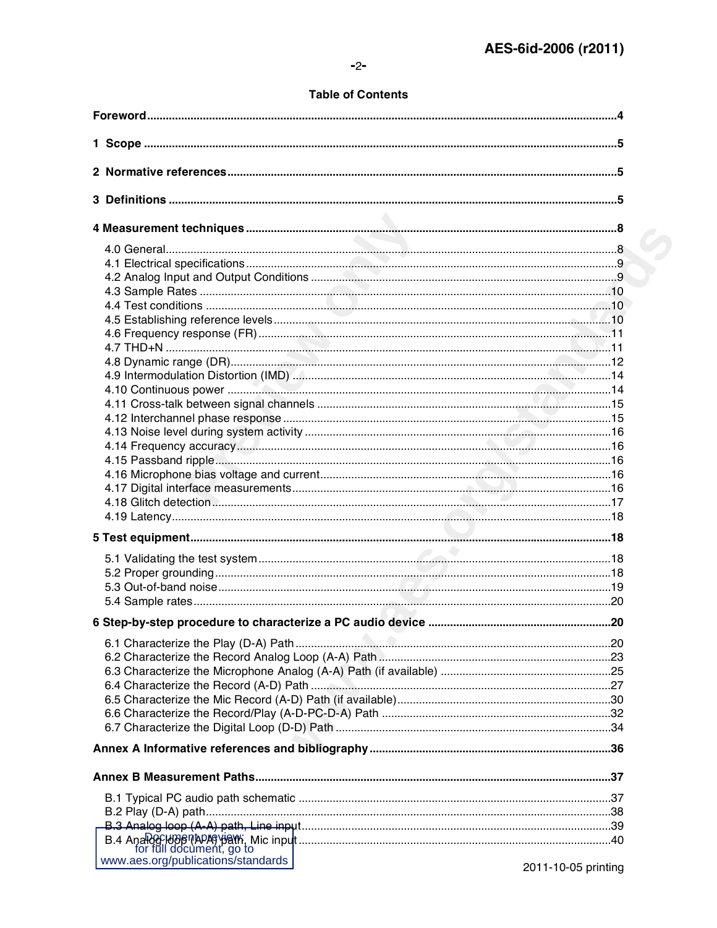# **Table of Contents**

| www.aes.org/publications/standards | 2011-10-05 printing |
|------------------------------------|---------------------|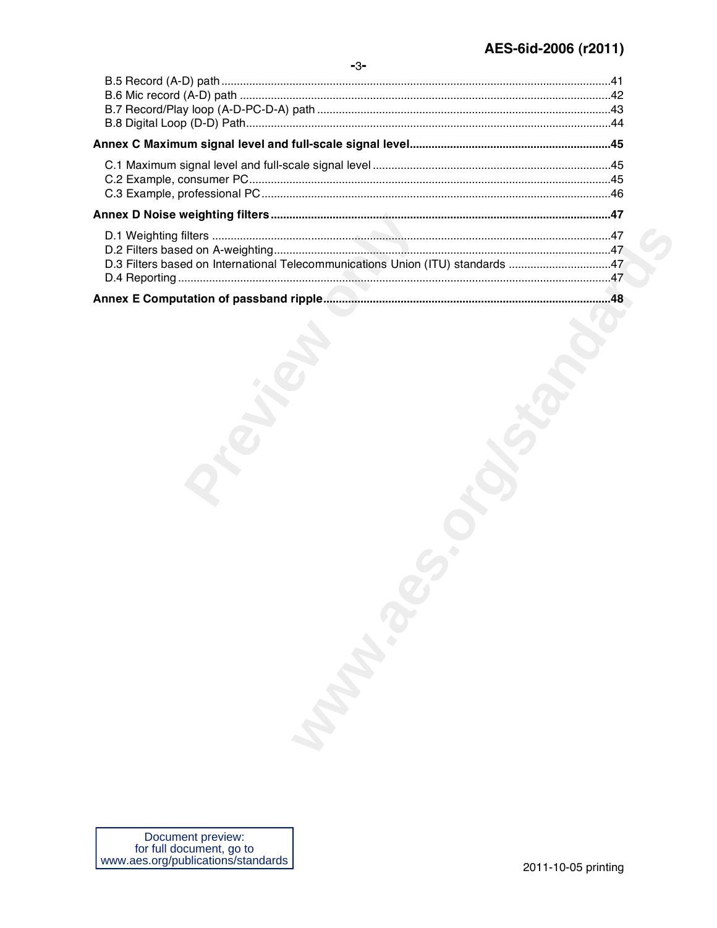| D.3 Filters based on International Telecommunications Union (ITU) standards 47 |  |
|--------------------------------------------------------------------------------|--|
|                                                                                |  |
|                                                                                |  |
|                                                                                |  |
|                                                                                |  |
|                                                                                |  |
|                                                                                |  |
|                                                                                |  |
|                                                                                |  |
|                                                                                |  |
|                                                                                |  |
|                                                                                |  |
|                                                                                |  |
|                                                                                |  |
|                                                                                |  |
|                                                                                |  |
|                                                                                |  |
|                                                                                |  |
|                                                                                |  |
|                                                                                |  |
|                                                                                |  |
|                                                                                |  |
|                                                                                |  |
|                                                                                |  |
|                                                                                |  |
|                                                                                |  |
|                                                                                |  |
| <b>Manufacture</b>                                                             |  |
|                                                                                |  |
|                                                                                |  |
|                                                                                |  |
|                                                                                |  |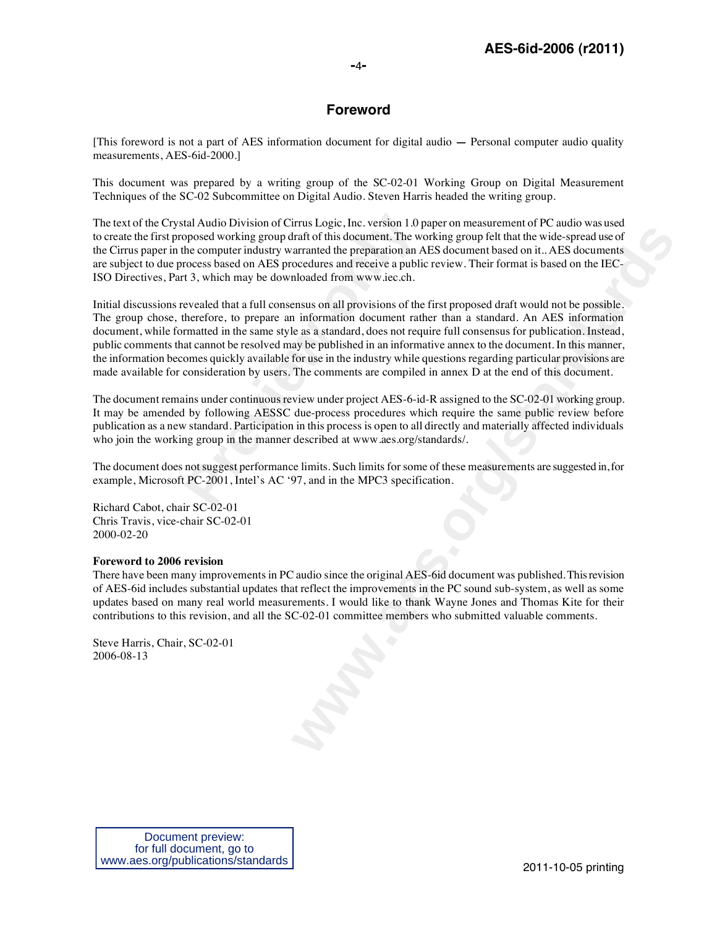# **Foreword**

[This foreword is not a part of AES information document for digital audio **—** Personal computer audio quality measurements, AES-6id-2000.]

This document was prepared by a writing group of the SC-02-01 Working Group on Digital Measurement Techniques of the SC-02 Subcommittee on Digital Audio. Steven Harris headed the writing group.

The text of the Crystal Audio Division of Cirrus Logic, Inc. version 1.0 paper on measurement of PC audio was used to create the first proposed working group draft of this document. The working group felt that the wide-spread use of the Cirrus paper in the computer industry warranted the preparation an AES document based on it.. AES documents are subject to due process based on AES procedures and receive a public review. Their format is based on the IEC-ISO Directives, Part 3, which may be downloaded from www.iec.ch.

tal Audio Division of Cirrus Logic, Inc. version  $1.0$  pposed working group draft of this document. The whe computer industry warranted the preparation an  $P$  rocess based on AES procedures and receive a publit 3, which m **whole** the perspace in the beat and mean control to the due to associate the perspace of this document. The working group felt that the wide-spead use of a<br>raranted the perspation an AFS document has ded on it. AFS docume Initial discussions revealed that a full consensus on all provisions of the first proposed draft would not be possible. The group chose, therefore, to prepare an information document rather than a standard. An AES information document, while formatted in the same style as a standard, does not require full consensus for publication. Instead, public comments that cannot be resolved may be published in an informative annex to the document. In this manner, the information becomes quickly available for use in the industry while questions regarding particular provisions are made available for consideration by users. The comments are compiled in annex D at the end of this document.

The document remains under continuous review under project AES-6-id-R assigned to the SC-02-01 working group. It may be amended by following AESSC due-process procedures which require the same public review before publication as a new standard. Participation in this process is open to all directly and materially affected individuals who join the working group in the manner described at www.aes.org/standards/.

The document does not suggest performance limits. Such limits for some of these measurements are suggested in, for example, Microsoft PC-2001, Intel's AC '97, and in the MPC3 specification.

Richard Cabot, chair SC-02-01 Chris Travis, vice-chair SC-02-01 2000-02-20

#### **Foreword to 2006 revision**

There have been many improvements in PC audio since the original AES-6id document was published. This revision of AES-6id includes substantial updates that reflect the improvements in the PC sound sub-system, as well as some updates based on many real world measurements. I would like to thank Wayne Jones and Thomas Kite for their contributions to this revision, and all the SC-02-01 committee members who submitted valuable comments.

Steve Harris, Chair, SC-02-01 2006-08-13

Document preview: for full document, go to www.aes.org/publications/standards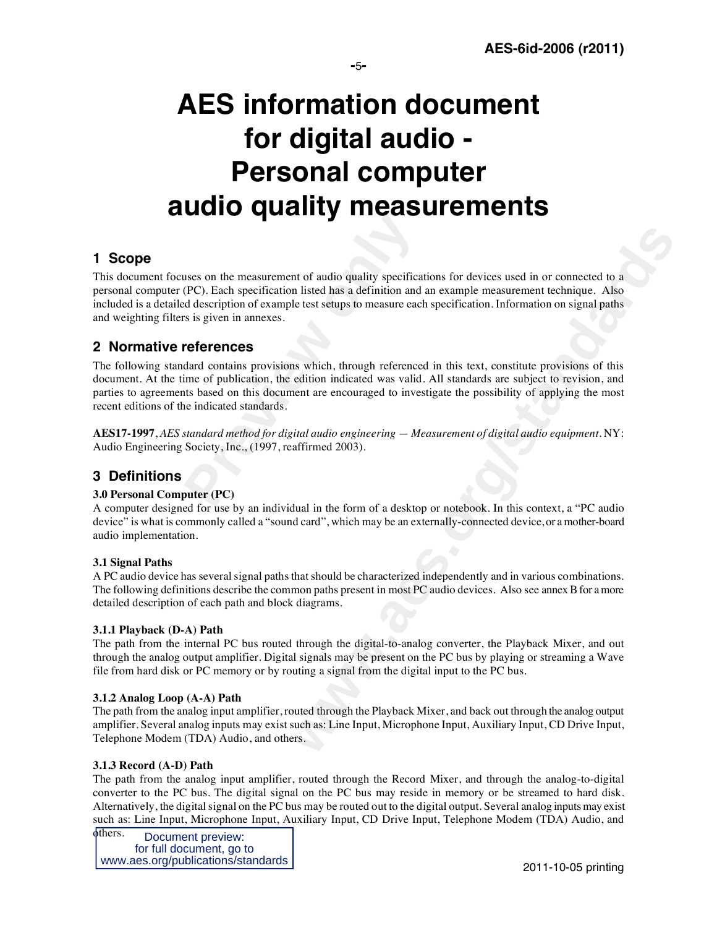# **AES information document for digital audio - Personal computer audio quality measurements**

# **1 Scope**

nt of audio quality specifications for devices used in or connected to a<br>n listed has a definition and an example measurement technique. Also<br>le test setups to measure each specification. Information on signal paths<br>as whi This document focuses on the measurement of audio quality specifications for devices used in or connected to a personal computer (PC). Each specification listed has a definition and an example measurement technique. Also included is a detailed description of example test setups to measure each specification. Information on signal paths and weighting filters is given in annexes.

# **2 Normative references**

**Example 18 Consumers Server Consumers**<br> **Previously** specification listed has a definition and<br>
d description of example test setups to measure each<br>
references<br>
dard contains provisions which, through reference<br>
lime of The following standard contains provisions which, through referenced in this text, constitute provisions of this document. At the time of publication, the edition indicated was valid. All standards are subject to revision, and parties to agreements based on this document are encouraged to investigate the possibility of applying the most recent editions of the indicated standards.

**AES17-1997**, *AES standard method for digital audio engineering — Measurement of digital audio equipment*. NY: Audio Engineering Society, Inc., (1997, reaffirmed 2003).

# **3 Definitions**

# **3.0 Personal Computer (PC)**

A computer designed for use by an individual in the form of a desktop or notebook. In this context, a "PC audio device" is what is commonly called a "sound card", which may be an externally-connected device, or a mother-board audio implementation.

# **3.1 Signal Paths**

A PC audio device has several signal paths that should be characterized independently and in various combinations. The following definitions describe the common paths present in most PC audio devices. Also see annex B for a more detailed description of each path and block diagrams.

#### **3.1.1 Playback (D-A) Path**

The path from the internal PC bus routed through the digital-to-analog converter, the Playback Mixer, and out through the analog output amplifier. Digital signals may be present on the PC bus by playing or streaming a Wave file from hard disk or PC memory or by routing a signal from the digital input to the PC bus.

# **3.1.2 Analog Loop (A-A) Path**

The path from the analog input amplifier, routed through the Playback Mixer, and back out through the analog output amplifier. Several analog inputs may exist such as: Line Input, Microphone Input, Auxiliary Input, CD Drive Input, Telephone Modem (TDA) Audio, and others.

#### **3.1.3 Record (A-D) Path**

The path from the analog input amplifier, routed through the Record Mixer, and through the analog-to-digital converter to the PC bus. The digital signal on the PC bus may reside in memory or be streamed to hard disk. Alternatively, the digital signal on the PC bus may be routed out to the digital output. Several analog inputs may exist such as: Line Input, Microphone Input, Auxiliary Input, CD Drive Input, Telephone Modem (TDA) Audio, and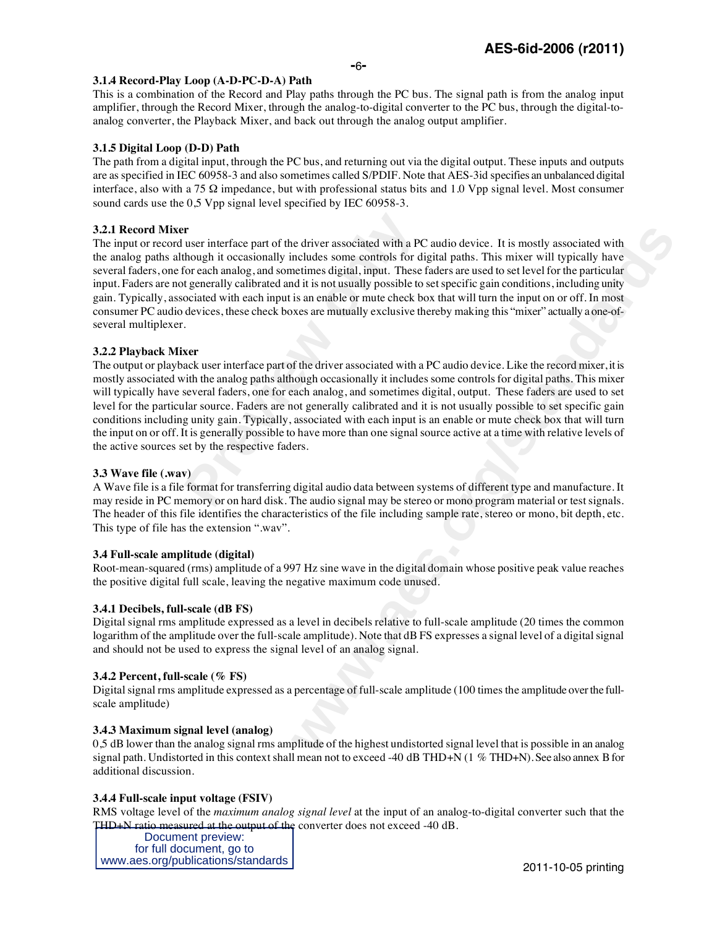#### **3.1.4 Record-Play Loop (A-D-PC-D-A) Path**

This is a combination of the Record and Play paths through the PC bus. The signal path is from the analog input amplifier, through the Record Mixer, through the analog-to-digital converter to the PC bus, through the digital-toanalog converter, the Playback Mixer, and back out through the analog output amplifier.

#### **3.1.5 Digital Loop (D-D) Path**

The path from a digital input, through the PC bus, and returning out via the digital output. These inputs and outputs are as specified in IEC 60958-3 and also sometimes called S/PDIF. Note that AES-3id specifies an unbalanced digital interface, also with a 75  $\Omega$  impedance, but with professional status bits and 1.0 Vpp signal level. Most consumer sound cards use the 0,5 Vpp signal level specified by IEC 60958-3.

#### **3.2.1 Record Mixer**

**Pr**<br> **Previously** interface part of the driver associated with a PC<br>
for each analog, and sometimes digital, input. These<br> **t** generally calibrated and it is not usually possible to<br>
cociated with each input is an enable ite driver associated with a PC audio device. It is mostly associated with meludes some corritos for digital pashs. This mixer will typically have nelulated melumes digital, imput. These falces are used to set level for th The input or record user interface part of the driver associated with a PC audio device. It is mostly associated with the analog paths although it occasionally includes some controls for digital paths. This mixer will typically have several faders, one for each analog, and sometimes digital, input. These faders are used to set level for the particular input. Faders are not generally calibrated and it is not usually possible to set specific gain conditions, including unity gain. Typically, associated with each input is an enable or mute check box that will turn the input on or off. In most consumer PC audio devices, these check boxes are mutually exclusive thereby making this "mixer" actually a one-ofseveral multiplexer.

#### **3.2.2 Playback Mixer**

The output or playback user interface part of the driver associated with a PC audio device. Like the record mixer, it is mostly associated with the analog paths although occasionally it includes some controls for digital paths. This mixer will typically have several faders, one for each analog, and sometimes digital, output. These faders are used to set level for the particular source. Faders are not generally calibrated and it is not usually possible to set specific gain conditions including unity gain. Typically, associated with each input is an enable or mute check box that will turn the input on or off. It is generally possible to have more than one signal source active at a time with relative levels of the active sources set by the respective faders.

#### **3.3 Wave file (.wav)**

A Wave file is a file format for transferring digital audio data between systems of different type and manufacture. It may reside in PC memory or on hard disk. The audio signal may be stereo or mono program material or test signals. The header of this file identifies the characteristics of the file including sample rate, stereo or mono, bit depth, etc. This type of file has the extension ".wav".

#### **3.4 Full-scale amplitude (digital)**

Root-mean-squared (rms) amplitude of a 997 Hz sine wave in the digital domain whose positive peak value reaches the positive digital full scale, leaving the negative maximum code unused.

#### **3.4.1 Decibels, full-scale (dB FS)**

Digital signal rms amplitude expressed as a level in decibels relative to full-scale amplitude (20 times the common logarithm of the amplitude over the full-scale amplitude). Note that dB FS expresses a signal level of a digital signal and should not be used to express the signal level of an analog signal.

#### **3.4.2 Percent, full-scale (% FS)**

Digital signal rms amplitude expressed as a percentage of full-scale amplitude (100 times the amplitude over the fullscale amplitude)

#### **3.4.3 Maximum signal level (analog)**

0,5 dB lower than the analog signal rms amplitude of the highest undistorted signal level that is possible in an analog signal path. Undistorted in this context shall mean not to exceed -40 dB THD+N (1 % THD+N). See also annex B for additional discussion.

#### **3.4.4 Full-scale input voltage (FSIV)**

RMS voltage level of the *maximum analog signal level* at the input of an analog-to-digital converter such that the THD+N ratio measured at the output of the converter does not exceed -40 dB.

Document preview: for full document, go to www.aes.org/publications/standards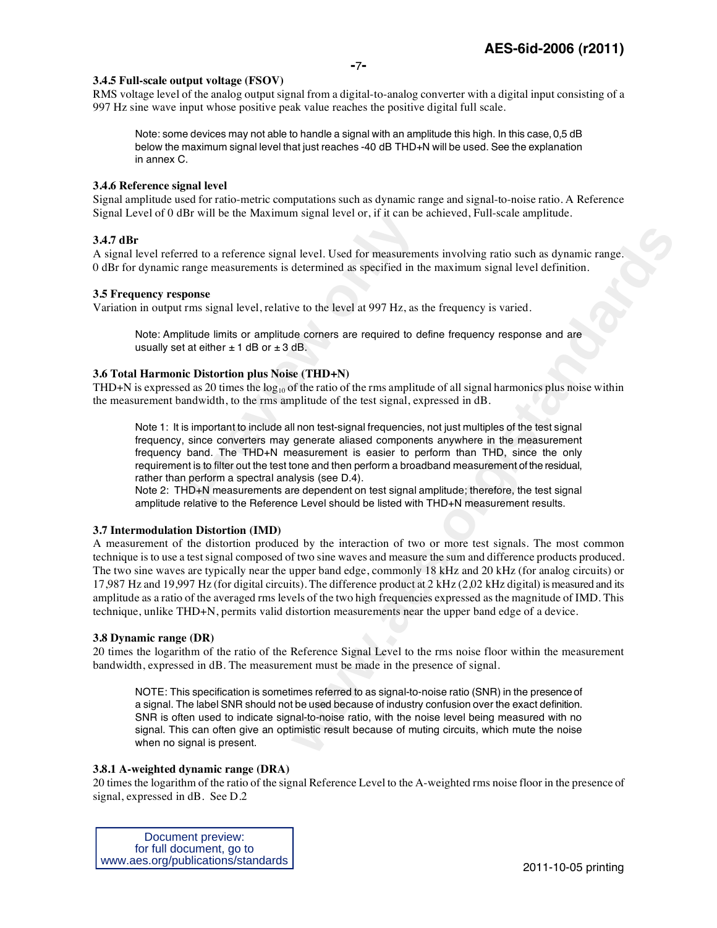#### **3.4.5 Full-scale output voltage (FSOV)**

RMS voltage level of the analog output signal from a digital-to-analog converter with a digital input consisting of a 997 Hz sine wave input whose positive peak value reaches the positive digital full scale.

Note: some devices may not able to handle a signal with an amplitude this high. In this case, 0,5 dB below the maximum signal level that just reaches -40 dB THD+N will be used. See the explanation in annex C.

#### **3.4.6 Reference signal level**

Signal amplitude used for ratio-metric computations such as dynamic range and signal-to-noise ratio. A Reference Signal Level of 0 dBr will be the Maximum signal level or, if it can be achieved, Full-scale amplitude.

#### **3.4.7 dBr**

A signal level referred to a reference signal level. Used for measurements involving ratio such as dynamic range. 0 dBr for dynamic range measurements is determined as specified in the maximum signal level definition.

#### **3.5 Frequency response**

Variation in output rms signal level, relative to the level at 997 Hz, as the frequency is varied.

Note: Amplitude limits or amplitude corners are required to define frequency response and are usually set at either  $\pm$  1 dB or  $\pm$  3 dB.

#### **3.6 Total Harmonic Distortion plus Noise (THD+N)**

THD+N is expressed as 20 times the  $log_{10}$  of the ratio of the rms amplitude of all signal harmonics plus noise within the measurement bandwidth, to the rms amplitude of the test signal, expressed in dB.

**Profit by** the Maximum signal level or, if it can be<br>red to a reference signal level. Used for measureme<br>range measurements is determined as specified in th<br>**ponse**<br>rms signal level, relative to the level at 997 Hz, as t Note 1: It is important to include all non test-signal frequencies, not just multiples of the test signal frequency, since converters may generate aliased components anywhere in the measurement frequency band. The THD+N measurement is easier to perform than THD, since the only requirement is to filter out the test tone and then perform a broadband measurement of the residual, rather than perform a spectral analysis (see D.4).

Note 2: THD+N measurements are dependent on test signal amplitude; therefore, the test signal amplitude relative to the Reference Level should be listed with THD+N measurement results.

#### **3.7 Intermodulation Distortion (IMD)**

**x** l level. Used for measurements involving ratio such as dynamic range.<br>determined as specified in the maximum signal level definition.<br>ve to the level at 997 Hz, as the frequency is varied.<br>**We comment the example of de** A measurement of the distortion produced by the interaction of two or more test signals. The most common technique is to use a test signal composed of two sine waves and measure the sum and difference products produced. The two sine waves are typically near the upper band edge, commonly 18 kHz and 20 kHz (for analog circuits) or 17,987 Hz and 19,997 Hz (for digital circuits). The difference product at  $2$  kHz (2,02 kHz digital) is measured and its amplitude as a ratio of the averaged rms levels of the two high frequencies expressed as the magnitude of IMD. This technique, unlike THD+N, permits valid distortion measurements near the upper band edge of a device.

#### **3.8 Dynamic range (DR)**

20 times the logarithm of the ratio of the Reference Signal Level to the rms noise floor within the measurement bandwidth, expressed in dB. The measurement must be made in the presence of signal.

NOTE: This specification is sometimes referred to as signal-to-noise ratio (SNR) in the presence of a signal. The label SNR should not be used because of industry confusion over the exact definition. SNR is often used to indicate signal-to-noise ratio, with the noise level being measured with no signal. This can often give an optimistic result because of muting circuits, which mute the noise when no signal is present.

#### **3.8.1 A-weighted dynamic range (DRA)**

20 times the logarithm of the ratio of the signal Reference Level to the A-weighted rms noise floor in the presence of signal, expressed in dB. See D.2

Document preview: for full document, go to www.aes.org/publications/standards